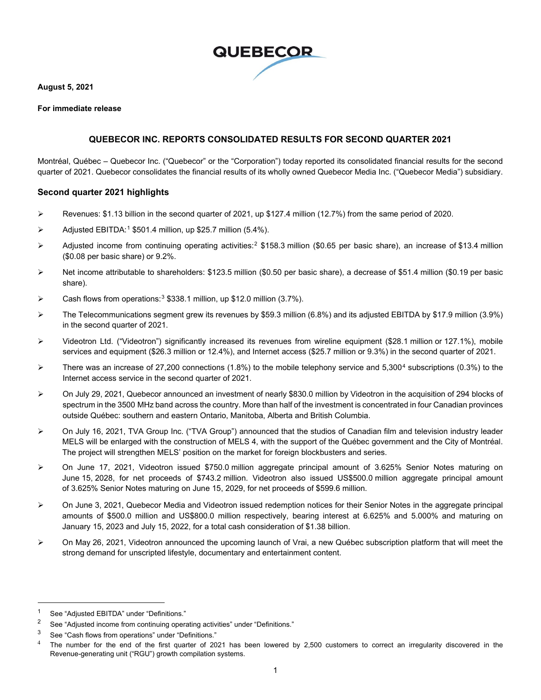

**August 5, 2021**

### **For immediate release**

# **QUEBECOR INC. REPORTS CONSOLIDATED RESULTS FOR SECOND QUARTER 2021**

Montréal, Québec – Quebecor Inc. ("Quebecor" or the "Corporation") today reported its consolidated financial results for the second quarter of 2021. Quebecor consolidates the financial results of its wholly owned Quebecor Media Inc. ("Quebecor Media") subsidiary.

# **Second quarter 2021 highlights**

- Revenues: \$1.13 billion in the second quarter of 2021, up \$127.4 million (12.7%) from the same period of 2020.
- $\triangleright$  Adjusted EBITDA:<sup>[1](#page-0-0)</sup> \$501.4 million, up \$25.7 million (5.4%).
- $\triangleright$  Adjusted income from continuing operating activities:<sup>[2](#page-0-1)</sup> \$158.3 million (\$0.65 per basic share), an increase of \$13.4 million (\$0.08 per basic share) or 9.2%.
- $\triangleright$  Net income attributable to shareholders: \$123.5 million (\$0.50 per basic share), a decrease of \$51.4 million (\$0.19 per basic share).
- Cash flows from operations:[3](#page-0-2) \$338.1 million, up \$12.0 million (3.7%).
- $\triangleright$  The Telecommunications segment grew its revenues by \$59.3 million (6.8%) and its adjusted EBITDA by \$17.9 million (3.9%) in the second quarter of 2021.
- $\triangleright$  Videotron Ltd. ("Videotron") significantly increased its revenues from wireline equipment (\$28.1 million or 127.1%), mobile services and equipment (\$26.3 million or 12.4%), and Internet access (\$25.7 million or 9.3%) in the second quarter of 2021.
- There was an increase of 27,200 connections (1.8%) to the mobile telephony service and 5,300<sup>[4](#page-0-3)</sup> subscriptions (0.3%) to the Internet access service in the second quarter of 2021.
- On July 29, 2021, Quebecor announced an investment of nearly \$830.0 million by Videotron in the acquisition of 294 blocks of spectrum in the 3500 MHz band across the country. More than half of the investment is concentrated in four Canadian provinces outside Québec: southern and eastern Ontario, Manitoba, Alberta and British Columbia.
- ▶ On July 16, 2021, TVA Group Inc. ("TVA Group") announced that the studios of Canadian film and television industry leader MELS will be enlarged with the construction of MELS 4, with the support of the Québec government and the City of Montréal. The project will strengthen MELS' position on the market for foreign blockbusters and series.
- On June 17, 2021, Videotron issued \$750.0 million aggregate principal amount of 3.625% Senior Notes maturing on June 15, 2028, for net proceeds of \$743.2 million. Videotron also issued US\$500.0 million aggregate principal amount of 3.625% Senior Notes maturing on June 15, 2029, for net proceeds of \$599.6 million.
- On June 3, 2021, Quebecor Media and Videotron issued redemption notices for their Senior Notes in the aggregate principal amounts of \$500.0 million and US\$800.0 million respectively, bearing interest at 6.625% and 5.000% and maturing on January 15, 2023 and July 15, 2022, for a total cash consideration of \$1.38 billion.
- $\triangleright$  On May 26, 2021, Videotron announced the upcoming launch of Vrai, a new Québec subscription platform that will meet the strong demand for unscripted lifestyle, documentary and entertainment content.

<span id="page-0-0"></span><sup>1</sup> See "Adjusted EBITDA" under "Definitions."

<span id="page-0-1"></span><sup>&</sup>lt;sup>2</sup> See "Adjusted income from continuing operating activities" under "Definitions."

<span id="page-0-3"></span><span id="page-0-2"></span> $3$  See "Cash flows from operations" under "Definitions."<br> $4$  The number for the and of the first number of 20

The number for the end of the first quarter of 2021 has been lowered by 2,500 customers to correct an irregularity discovered in the Revenue-generating unit ("RGU") growth compilation systems.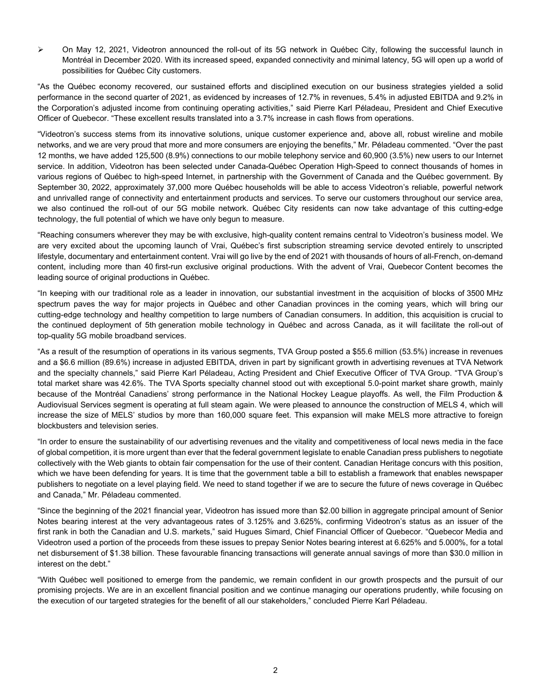On May 12, 2021, Videotron announced the roll-out of its 5G network in Québec City, following the successful launch in Montréal in December 2020. With its increased speed, expanded connectivity and minimal latency, 5G will open up a world of possibilities for Québec City customers.

"As the Québec economy recovered, our sustained efforts and disciplined execution on our business strategies yielded a solid performance in the second quarter of 2021, as evidenced by increases of 12.7% in revenues, 5.4% in adjusted EBITDA and 9.2% in the Corporation's adjusted income from continuing operating activities," said Pierre Karl Péladeau, President and Chief Executive Officer of Quebecor. "These excellent results translated into a 3.7% increase in cash flows from operations.

"Videotron's success stems from its innovative solutions, unique customer experience and, above all, robust wireline and mobile networks, and we are very proud that more and more consumers are enjoying the benefits," Mr. Péladeau commented. "Over the past 12 months, we have added 125,500 (8.9%) connections to our mobile telephony service and 60,900 (3.5%) new users to our Internet service. In addition, Videotron has been selected under Canada-Québec Operation High-Speed to connect thousands of homes in various regions of Québec to high-speed Internet, in partnership with the Government of Canada and the Québec government. By September 30, 2022, approximately 37,000 more Québec households will be able to access Videotron's reliable, powerful network and unrivalled range of connectivity and entertainment products and services. To serve our customers throughout our service area, we also continued the roll-out of our 5G mobile network. Québec City residents can now take advantage of this cutting-edge technology, the full potential of which we have only begun to measure.

"Reaching consumers wherever they may be with exclusive, high-quality content remains central to Videotron's business model. We are very excited about the upcoming launch of Vrai, Québec's first subscription streaming service devoted entirely to unscripted lifestyle, documentary and entertainment content. Vrai will go live by the end of 2021 with thousands of hours of all-French, on-demand content, including more than 40 first-run exclusive original productions. With the advent of Vrai, Quebecor Content becomes the leading source of original productions in Québec.

"In keeping with our traditional role as a leader in innovation, our substantial investment in the acquisition of blocks of 3500 MHz spectrum paves the way for major projects in Québec and other Canadian provinces in the coming years, which will bring our cutting-edge technology and healthy competition to large numbers of Canadian consumers. In addition, this acquisition is crucial to the continued deployment of 5th generation mobile technology in Québec and across Canada, as it will facilitate the roll-out of top-quality 5G mobile broadband services.

"As a result of the resumption of operations in its various segments, TVA Group posted a \$55.6 million (53.5%) increase in revenues and a \$6.6 million (89.6%) increase in adjusted EBITDA, driven in part by significant growth in advertising revenues at TVA Network and the specialty channels," said Pierre Karl Péladeau, Acting President and Chief Executive Officer of TVA Group. "TVA Group's total market share was 42.6%. The TVA Sports specialty channel stood out with exceptional 5.0-point market share growth, mainly because of the Montréal Canadiens' strong performance in the National Hockey League playoffs. As well, the Film Production & Audiovisual Services segment is operating at full steam again. We were pleased to announce the construction of MELS 4, which will increase the size of MELS' studios by more than 160,000 square feet. This expansion will make MELS more attractive to foreign blockbusters and television series.

"In order to ensure the sustainability of our advertising revenues and the vitality and competitiveness of local news media in the face of global competition, it is more urgent than ever that the federal government legislate to enable Canadian press publishers to negotiate collectively with the Web giants to obtain fair compensation for the use of their content. Canadian Heritage concurs with this position, which we have been defending for years. It is time that the government table a bill to establish a framework that enables newspaper publishers to negotiate on a level playing field. We need to stand together if we are to secure the future of news coverage in Québec and Canada," Mr. Péladeau commented.

"Since the beginning of the 2021 financial year, Videotron has issued more than \$2.00 billion in aggregate principal amount of Senior Notes bearing interest at the very advantageous rates of 3.125% and 3.625%, confirming Videotron's status as an issuer of the first rank in both the Canadian and U.S. markets," said Hugues Simard, Chief Financial Officer of Quebecor. "Quebecor Media and Videotron used a portion of the proceeds from these issues to prepay Senior Notes bearing interest at 6.625% and 5.000%, for a total net disbursement of \$1.38 billion. These favourable financing transactions will generate annual savings of more than \$30.0 million in interest on the debt."

"With Québec well positioned to emerge from the pandemic, we remain confident in our growth prospects and the pursuit of our promising projects. We are in an excellent financial position and we continue managing our operations prudently, while focusing on the execution of our targeted strategies for the benefit of all our stakeholders," concluded Pierre Karl Péladeau.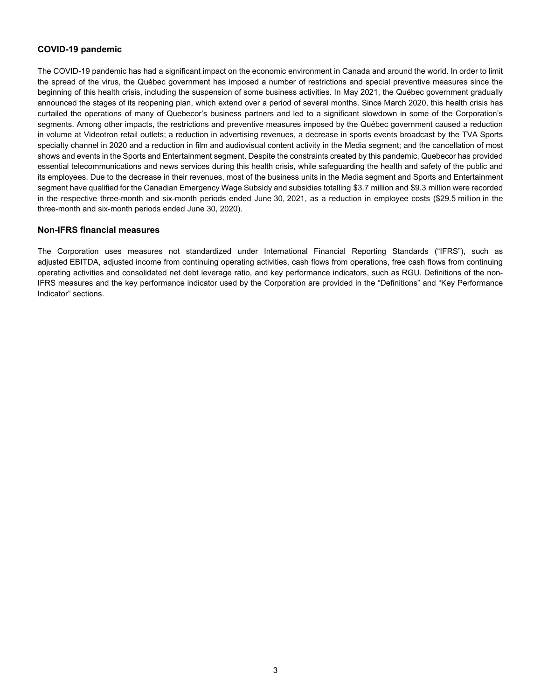# **COVID-19 pandemic**

The COVID-19 pandemic has had a significant impact on the economic environment in Canada and around the world. In order to limit the spread of the virus, the Québec government has imposed a number of restrictions and special preventive measures since the beginning of this health crisis, including the suspension of some business activities. In May 2021, the Québec government gradually announced the stages of its reopening plan, which extend over a period of several months. Since March 2020, this health crisis has curtailed the operations of many of Quebecor's business partners and led to a significant slowdown in some of the Corporation's segments. Among other impacts, the restrictions and preventive measures imposed by the Québec government caused a reduction in volume at Videotron retail outlets; a reduction in advertising revenues, a decrease in sports events broadcast by the TVA Sports specialty channel in 2020 and a reduction in film and audiovisual content activity in the Media segment; and the cancellation of most shows and events in the Sports and Entertainment segment. Despite the constraints created by this pandemic, Quebecor has provided essential telecommunications and news services during this health crisis, while safeguarding the health and safety of the public and its employees. Due to the decrease in their revenues, most of the business units in the Media segment and Sports and Entertainment segment have qualified for the Canadian Emergency Wage Subsidy and subsidies totalling \$3.7 million and \$9.3 million were recorded in the respective three-month and six-month periods ended June 30, 2021, as a reduction in employee costs (\$29.5 million in the three-month and six-month periods ended June 30, 2020).

# **Non-IFRS financial measures**

The Corporation uses measures not standardized under International Financial Reporting Standards ("IFRS"), such as adjusted EBITDA, adjusted income from continuing operating activities, cash flows from operations, free cash flows from continuing operating activities and consolidated net debt leverage ratio, and key performance indicators, such as RGU. Definitions of the non-IFRS measures and the key performance indicator used by the Corporation are provided in the "Definitions" and "Key Performance Indicator" sections.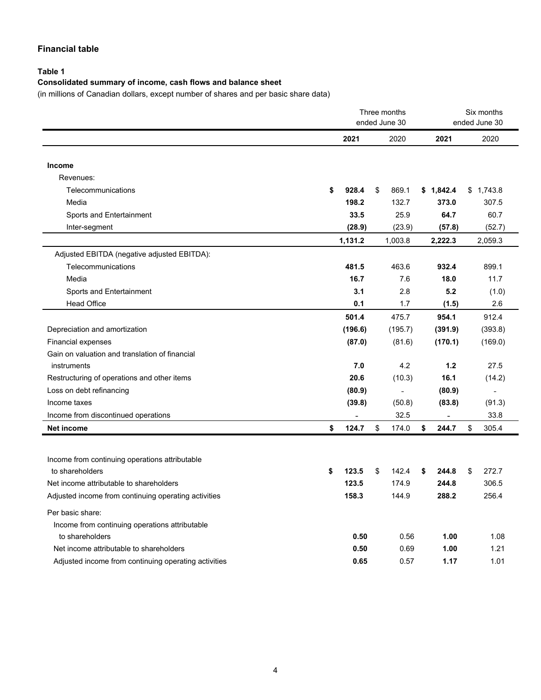# **Financial table**

# **Table 1**

# **Consolidated summary of income, cash flows and balance sheet**

(in millions of Canadian dollars, except number of shares and per basic share data)

|                                                      |    | Three months<br>ended June 30 |    |         | Six months<br>ended June 30 |           |    |           |
|------------------------------------------------------|----|-------------------------------|----|---------|-----------------------------|-----------|----|-----------|
|                                                      |    | 2021                          |    | 2020    |                             | 2021      |    | 2020      |
|                                                      |    |                               |    |         |                             |           |    |           |
| Income                                               |    |                               |    |         |                             |           |    |           |
| Revenues:                                            |    |                               |    |         |                             |           |    |           |
| Telecommunications                                   | \$ | 928.4                         | \$ | 869.1   |                             | \$1,842.4 |    | \$1,743.8 |
| Media                                                |    | 198.2                         |    | 132.7   |                             | 373.0     |    | 307.5     |
| Sports and Entertainment                             |    | 33.5                          |    | 25.9    |                             | 64.7      |    | 60.7      |
| Inter-segment                                        |    | (28.9)                        |    | (23.9)  |                             | (57.8)    |    | (52.7)    |
|                                                      |    | 1,131.2                       |    | 1,003.8 |                             | 2,222.3   |    | 2,059.3   |
| Adjusted EBITDA (negative adjusted EBITDA):          |    |                               |    |         |                             |           |    |           |
| Telecommunications                                   |    | 481.5                         |    | 463.6   |                             | 932.4     |    | 899.1     |
| Media                                                |    | 16.7                          |    | 7.6     |                             | 18.0      |    | 11.7      |
| Sports and Entertainment                             |    | 3.1                           |    | 2.8     |                             | 5.2       |    | (1.0)     |
| <b>Head Office</b>                                   |    | 0.1                           |    | 1.7     |                             | (1.5)     |    | 2.6       |
|                                                      |    | 501.4                         |    | 475.7   |                             | 954.1     |    | 912.4     |
| Depreciation and amortization                        |    | (196.6)                       |    | (195.7) |                             | (391.9)   |    | (393.8)   |
| <b>Financial expenses</b>                            |    | (87.0)                        |    | (81.6)  |                             | (170.1)   |    | (169.0)   |
| Gain on valuation and translation of financial       |    |                               |    |         |                             |           |    |           |
| instruments                                          |    | 7.0                           |    | 4.2     |                             | 1.2       |    | 27.5      |
| Restructuring of operations and other items          |    | 20.6                          |    | (10.3)  |                             | 16.1      |    | (14.2)    |
| Loss on debt refinancing                             |    | (80.9)                        |    |         |                             | (80.9)    |    |           |
| Income taxes                                         |    | (39.8)                        |    | (50.8)  |                             | (83.8)    |    | (91.3)    |
| Income from discontinued operations                  |    |                               |    | 32.5    |                             |           |    | 33.8      |
| <b>Net income</b>                                    | \$ | 124.7                         | \$ | 174.0   | \$                          | 244.7     | \$ | 305.4     |
|                                                      |    |                               |    |         |                             |           |    |           |
| Income from continuing operations attributable       |    |                               |    |         |                             |           |    |           |
| to shareholders                                      | \$ | 123.5                         | \$ | 142.4   | \$                          | 244.8     | \$ | 272.7     |
| Net income attributable to shareholders              |    | 123.5                         |    | 174.9   |                             | 244.8     |    | 306.5     |
| Adjusted income from continuing operating activities |    | 158.3                         |    | 144.9   |                             | 288.2     |    | 256.4     |
| Per basic share:                                     |    |                               |    |         |                             |           |    |           |
| Income from continuing operations attributable       |    |                               |    |         |                             |           |    |           |
| to shareholders                                      |    | 0.50                          |    | 0.56    |                             | 1.00      |    | 1.08      |
| Net income attributable to shareholders              |    | 0.50                          |    | 0.69    |                             | 1.00      |    | 1.21      |
| Adjusted income from continuing operating activities |    | 0.65                          |    | 0.57    |                             | 1.17      |    | 1.01      |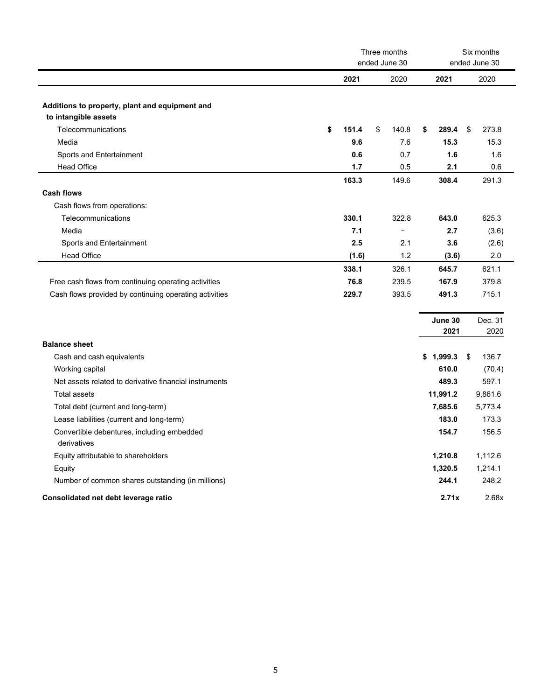|                                                                        |             | Three months<br>ended June 30 |                 | Six months<br>ended June 30 |
|------------------------------------------------------------------------|-------------|-------------------------------|-----------------|-----------------------------|
|                                                                        | 2021        | 2020                          | 2021            | 2020                        |
| Additions to property, plant and equipment and<br>to intangible assets |             |                               |                 |                             |
| Telecommunications                                                     | \$<br>151.4 | \$<br>140.8                   | 289.4<br>\$     | \$<br>273.8                 |
| Media                                                                  | 9.6         | 7.6                           | 15.3            | 15.3                        |
| Sports and Entertainment                                               | 0.6         | 0.7                           | 1.6             | 1.6                         |
| <b>Head Office</b>                                                     | 1.7         | 0.5                           | 2.1             | 0.6                         |
|                                                                        | 163.3       | 149.6                         | 308.4           | 291.3                       |
| <b>Cash flows</b>                                                      |             |                               |                 |                             |
| Cash flows from operations:                                            |             |                               |                 |                             |
| Telecommunications                                                     | 330.1       | 322.8                         | 643.0           | 625.3                       |
| Media                                                                  | 7.1         | $\equiv$                      | 2.7             | (3.6)                       |
| Sports and Entertainment                                               | 2.5         | 2.1                           | 3.6             | (2.6)                       |
| <b>Head Office</b>                                                     | (1.6)       | 1.2                           | (3.6)           | 2.0                         |
|                                                                        | 338.1       | 326.1                         | 645.7           | 621.1                       |
| Free cash flows from continuing operating activities                   | 76.8        | 239.5                         | 167.9           | 379.8                       |
| Cash flows provided by continuing operating activities                 | 229.7       | 393.5                         | 491.3           | 715.1                       |
|                                                                        |             |                               |                 |                             |
|                                                                        |             |                               | June 30<br>2021 | Dec. 31<br>2020             |
| <b>Balance sheet</b>                                                   |             |                               |                 |                             |
| Cash and cash equivalents                                              |             |                               | \$1,999.3       | \$<br>136.7                 |
| Working capital                                                        |             |                               | 610.0           | (70.4)                      |
| Net assets related to derivative financial instruments                 |             |                               | 489.3           | 597.1                       |
| <b>Total assets</b>                                                    |             |                               | 11,991.2        | 9,861.6                     |
| Total debt (current and long-term)                                     |             |                               | 7,685.6         | 5,773.4                     |
| Lease liabilities (current and long-term)                              |             |                               | 183.0           | 173.3                       |
| Convertible debentures, including embedded<br>derivatives              |             |                               | 154.7           | 156.5                       |
| Equity attributable to shareholders                                    |             |                               | 1,210.8         | 1,112.6                     |
| Equity                                                                 |             |                               | 1,320.5         | 1,214.1                     |
| Number of common shares outstanding (in millions)                      |             |                               | 244.1           | 248.2                       |
| Consolidated net debt leverage ratio                                   |             |                               | 2.71x           | 2.68x                       |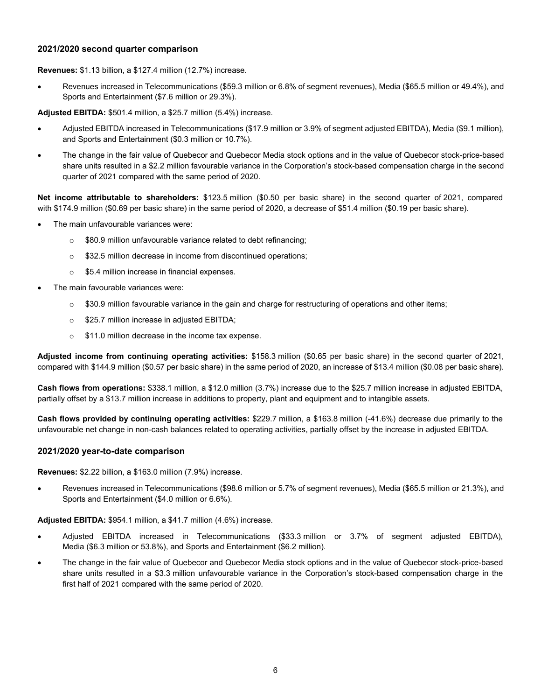## **2021/2020 second quarter comparison**

**Revenues:** \$1.13 billion, a \$127.4 million (12.7%) increase.

• Revenues increased in Telecommunications (\$59.3 million or 6.8% of segment revenues), Media (\$65.5 million or 49.4%), and Sports and Entertainment (\$7.6 million or 29.3%).

**Adjusted EBITDA:** \$501.4 million, a \$25.7 million (5.4%) increase.

- Adjusted EBITDA increased in Telecommunications (\$17.9 million or 3.9% of segment adjusted EBITDA), Media (\$9.1 million), and Sports and Entertainment (\$0.3 million or 10.7%).
- The change in the fair value of Quebecor and Quebecor Media stock options and in the value of Quebecor stock-price-based share units resulted in a \$2.2 million favourable variance in the Corporation's stock-based compensation charge in the second quarter of 2021 compared with the same period of 2020.

**Net income attributable to shareholders:** \$123.5 million (\$0.50 per basic share) in the second quarter of 2021, compared with \$174.9 million (\$0.69 per basic share) in the same period of 2020, a decrease of \$51.4 million (\$0.19 per basic share).

- The main unfavourable variances were:
	- o \$80.9 million unfavourable variance related to debt refinancing;
	- o \$32.5 million decrease in income from discontinued operations;
	- o \$5.4 million increase in financial expenses.
- The main favourable variances were:
	- $\circ$  \$30.9 million favourable variance in the gain and charge for restructuring of operations and other items;
	- o \$25.7 million increase in adjusted EBITDA;
	- o \$11.0 million decrease in the income tax expense.

**Adjusted income from continuing operating activities:** \$158.3 million (\$0.65 per basic share) in the second quarter of 2021, compared with \$144.9 million (\$0.57 per basic share) in the same period of 2020, an increase of \$13.4 million (\$0.08 per basic share).

**Cash flows from operations:** \$338.1 million, a \$12.0 million (3.7%) increase due to the \$25.7 million increase in adjusted EBITDA, partially offset by a \$13.7 million increase in additions to property, plant and equipment and to intangible assets.

**Cash flows provided by continuing operating activities:** \$229.7 million, a \$163.8 million (-41.6%) decrease due primarily to the unfavourable net change in non-cash balances related to operating activities, partially offset by the increase in adjusted EBITDA.

# **2021/2020 year-to-date comparison**

#### **Revenues:** \$2.22 billion, a \$163.0 million (7.9%) increase.

• Revenues increased in Telecommunications (\$98.6 million or 5.7% of segment revenues), Media (\$65.5 million or 21.3%), and Sports and Entertainment (\$4.0 million or 6.6%).

#### **Adjusted EBITDA:** \$954.1 million, a \$41.7 million (4.6%) increase.

- Adjusted EBITDA increased in Telecommunications (\$33.3 million or 3.7% of segment adjusted EBITDA), Media (\$6.3 million or 53.8%), and Sports and Entertainment (\$6.2 million).
- The change in the fair value of Quebecor and Quebecor Media stock options and in the value of Quebecor stock-price-based share units resulted in a \$3.3 million unfavourable variance in the Corporation's stock-based compensation charge in the first half of 2021 compared with the same period of 2020.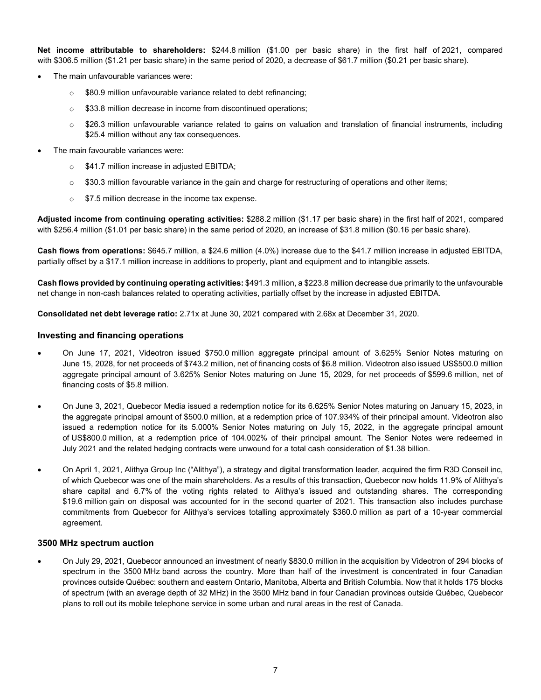**Net income attributable to shareholders:** \$244.8 million (\$1.00 per basic share) in the first half of 2021, compared with \$306.5 million (\$1.21 per basic share) in the same period of 2020, a decrease of \$61.7 million (\$0.21 per basic share).

- The main unfavourable variances were:
	- o \$80.9 million unfavourable variance related to debt refinancing;
	- o \$33.8 million decrease in income from discontinued operations;
	- $\circ$  \$26.3 million unfavourable variance related to gains on valuation and translation of financial instruments, including \$25.4 million without any tax consequences.
- The main favourable variances were:
	- o \$41.7 million increase in adjusted EBITDA;
	- $\circ$  \$30.3 million favourable variance in the gain and charge for restructuring of operations and other items;
	- $\circ$  \$7.5 million decrease in the income tax expense.

**Adjusted income from continuing operating activities:** \$288.2 million (\$1.17 per basic share) in the first half of 2021, compared with \$256.4 million (\$1.01 per basic share) in the same period of 2020, an increase of \$31.8 million (\$0.16 per basic share).

**Cash flows from operations:** \$645.7 million, a \$24.6 million (4.0%) increase due to the \$41.7 million increase in adjusted EBITDA, partially offset by a \$17.1 million increase in additions to property, plant and equipment and to intangible assets.

**Cash flows provided by continuing operating activities:** \$491.3 million, a \$223.8 million decrease due primarily to the unfavourable net change in non-cash balances related to operating activities, partially offset by the increase in adjusted EBITDA.

**Consolidated net debt leverage ratio:** 2.71x at June 30, 2021 compared with 2.68x at December 31, 2020.

#### **Investing and financing operations**

- On June 17, 2021, Videotron issued \$750.0 million aggregate principal amount of 3.625% Senior Notes maturing on June 15, 2028, for net proceeds of \$743.2 million, net of financing costs of \$6.8 million. Videotron also issued US\$500.0 million aggregate principal amount of 3.625% Senior Notes maturing on June 15, 2029, for net proceeds of \$599.6 million, net of financing costs of \$5.8 million.
- On June 3, 2021, Quebecor Media issued a redemption notice for its 6.625% Senior Notes maturing on January 15, 2023, in the aggregate principal amount of \$500.0 million, at a redemption price of 107.934% of their principal amount. Videotron also issued a redemption notice for its 5.000% Senior Notes maturing on July 15, 2022, in the aggregate principal amount of US\$800.0 million, at a redemption price of 104.002% of their principal amount. The Senior Notes were redeemed in July 2021 and the related hedging contracts were unwound for a total cash consideration of \$1.38 billion.
- On April 1, 2021, Alithya Group Inc ("Alithya"), a strategy and digital transformation leader, acquired the firm R3D Conseil inc, of which Quebecor was one of the main shareholders. As a results of this transaction, Quebecor now holds 11.9% of Alithya's share capital and 6.7% of the voting rights related to Alithya's issued and outstanding shares. The corresponding \$19.6 million gain on disposal was accounted for in the second quarter of 2021. This transaction also includes purchase commitments from Quebecor for Alithya's services totalling approximately \$360.0 million as part of a 10-year commercial agreement.

# **3500 MHz spectrum auction**

• On July 29, 2021, Quebecor announced an investment of nearly \$830.0 million in the acquisition by Videotron of 294 blocks of spectrum in the 3500 MHz band across the country. More than half of the investment is concentrated in four Canadian provinces outside Québec: southern and eastern Ontario, Manitoba, Alberta and British Columbia. Now that it holds 175 blocks of spectrum (with an average depth of 32 MHz) in the 3500 MHz band in four Canadian provinces outside Québec, Quebecor plans to roll out its mobile telephone service in some urban and rural areas in the rest of Canada.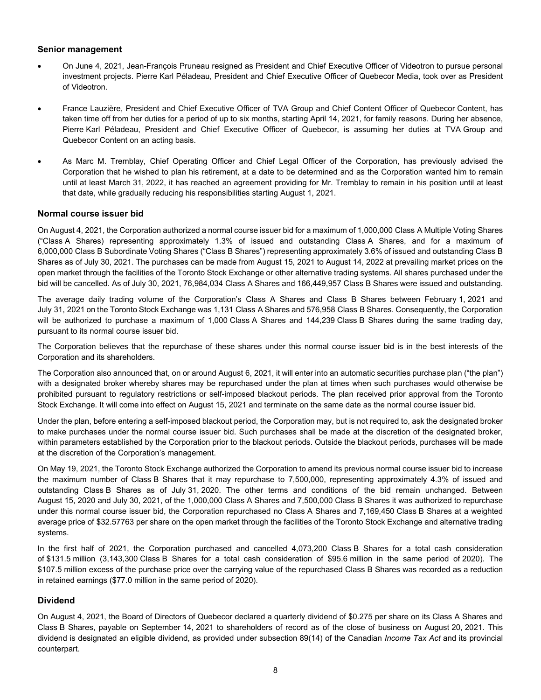# **Senior management**

- On June 4, 2021, Jean-François Pruneau resigned as President and Chief Executive Officer of Videotron to pursue personal investment projects. Pierre Karl Péladeau, President and Chief Executive Officer of Quebecor Media, took over as President of Videotron.
- France Lauzière, President and Chief Executive Officer of TVA Group and Chief Content Officer of Quebecor Content, has taken time off from her duties for a period of up to six months, starting April 14, 2021, for family reasons. During her absence, Pierre Karl Péladeau, President and Chief Executive Officer of Quebecor, is assuming her duties at TVA Group and Quebecor Content on an acting basis.
- As Marc M. Tremblay, Chief Operating Officer and Chief Legal Officer of the Corporation, has previously advised the Corporation that he wished to plan his retirement, at a date to be determined and as the Corporation wanted him to remain until at least March 31, 2022, it has reached an agreement providing for Mr. Tremblay to remain in his position until at least that date, while gradually reducing his responsibilities starting August 1, 2021.

#### **Normal course issuer bid**

On August 4, 2021, the Corporation authorized a normal course issuer bid for a maximum of 1,000,000 Class A Multiple Voting Shares ("Class A Shares) representing approximately 1.3% of issued and outstanding Class A Shares, and for a maximum of 6,000,000 Class B Subordinate Voting Shares ("Class B Shares") representing approximately 3.6% of issued and outstanding Class B Shares as of July 30, 2021. The purchases can be made from August 15, 2021 to August 14, 2022 at prevailing market prices on the open market through the facilities of the Toronto Stock Exchange or other alternative trading systems. All shares purchased under the bid will be cancelled. As of July 30, 2021, 76,984,034 Class A Shares and 166,449,957 Class B Shares were issued and outstanding.

The average daily trading volume of the Corporation's Class A Shares and Class B Shares between February 1, 2021 and July 31, 2021 on the Toronto Stock Exchange was 1,131 Class A Shares and 576,958 Class B Shares. Consequently, the Corporation will be authorized to purchase a maximum of 1,000 Class A Shares and 144,239 Class B Shares during the same trading day, pursuant to its normal course issuer bid.

The Corporation believes that the repurchase of these shares under this normal course issuer bid is in the best interests of the Corporation and its shareholders.

The Corporation also announced that, on or around August 6, 2021, it will enter into an automatic securities purchase plan ("the plan") with a designated broker whereby shares may be repurchased under the plan at times when such purchases would otherwise be prohibited pursuant to regulatory restrictions or self-imposed blackout periods. The plan received prior approval from the Toronto Stock Exchange. It will come into effect on August 15, 2021 and terminate on the same date as the normal course issuer bid.

Under the plan, before entering a self-imposed blackout period, the Corporation may, but is not required to, ask the designated broker to make purchases under the normal course issuer bid. Such purchases shall be made at the discretion of the designated broker, within parameters established by the Corporation prior to the blackout periods. Outside the blackout periods, purchases will be made at the discretion of the Corporation's management.

On May 19, 2021, the Toronto Stock Exchange authorized the Corporation to amend its previous normal course issuer bid to increase the maximum number of Class B Shares that it may repurchase to 7,500,000, representing approximately 4.3% of issued and outstanding Class B Shares as of July 31, 2020. The other terms and conditions of the bid remain unchanged. Between August 15, 2020 and July 30, 2021, of the 1,000,000 Class A Shares and 7,500,000 Class B Shares it was authorized to repurchase under this normal course issuer bid, the Corporation repurchased no Class A Shares and 7,169,450 Class B Shares at a weighted average price of \$32.57763 per share on the open market through the facilities of the Toronto Stock Exchange and alternative trading systems.

In the first half of 2021, the Corporation purchased and cancelled 4,073,200 Class B Shares for a total cash consideration of \$131.5 million (3,143,300 Class B Shares for a total cash consideration of \$95.6 million in the same period of 2020). The \$107.5 million excess of the purchase price over the carrying value of the repurchased Class B Shares was recorded as a reduction in retained earnings (\$77.0 million in the same period of 2020).

# **Dividend**

On August 4, 2021, the Board of Directors of Quebecor declared a quarterly dividend of \$0.275 per share on its Class A Shares and Class B Shares, payable on September 14, 2021 to shareholders of record as of the close of business on August 20, 2021. This dividend is designated an eligible dividend, as provided under subsection 89(14) of the Canadian *Income Tax Act* and its provincial counterpart.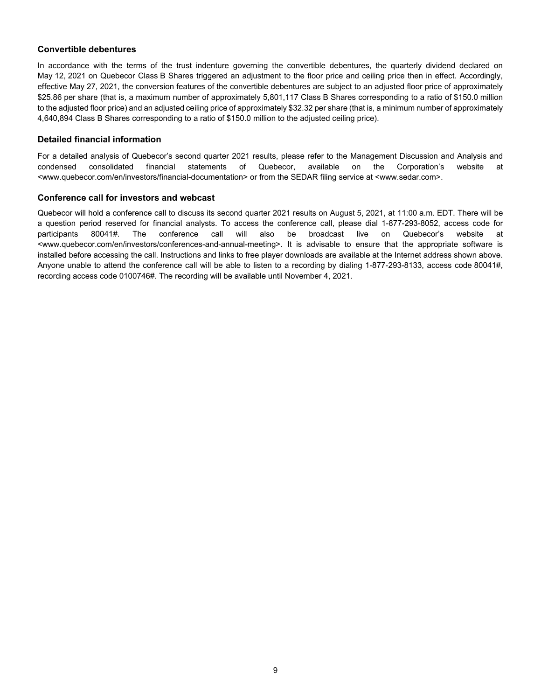# **Convertible debentures**

In accordance with the terms of the trust indenture governing the convertible debentures, the quarterly dividend declared on May 12, 2021 on Quebecor Class B Shares triggered an adjustment to the floor price and ceiling price then in effect. Accordingly, effective May 27, 2021, the conversion features of the convertible debentures are subject to an adjusted floor price of approximately \$25.86 per share (that is, a maximum number of approximately 5,801,117 Class B Shares corresponding to a ratio of \$150.0 million to the adjusted floor price) and an adjusted ceiling price of approximately \$32.32 per share (that is, a minimum number of approximately 4,640,894 Class B Shares corresponding to a ratio of \$150.0 million to the adjusted ceiling price).

# **Detailed financial information**

For a detailed analysis of Quebecor's second quarter 2021 results, please refer to the Management Discussion and Analysis and condensed consolidated financial statements of Quebecor, available on the Corporation's website at <www.quebecor.com/en/investors/financial-documentation> or from the SEDAR filing service at <www.sedar.com>.

# **Conference call for investors and webcast**

Quebecor will hold a conference call to discuss its second quarter 2021 results on August 5, 2021, at 11:00 a.m. EDT. There will be a question period reserved for financial analysts. To access the conference call, please dial 1-877-293-8052, access code for participants 80041#. The conference call will also be broadcast live on Quebecor's website at <www.quebecor.com/en/investors/conferences-and-annual-meeting>. It is advisable to ensure that the appropriate software is installed before accessing the call. Instructions and links to free player downloads are available at the Internet address shown above. Anyone unable to attend the conference call will be able to listen to a recording by dialing 1-877-293-8133, access code 80041#, recording access code 0100746#. The recording will be available until November 4, 2021.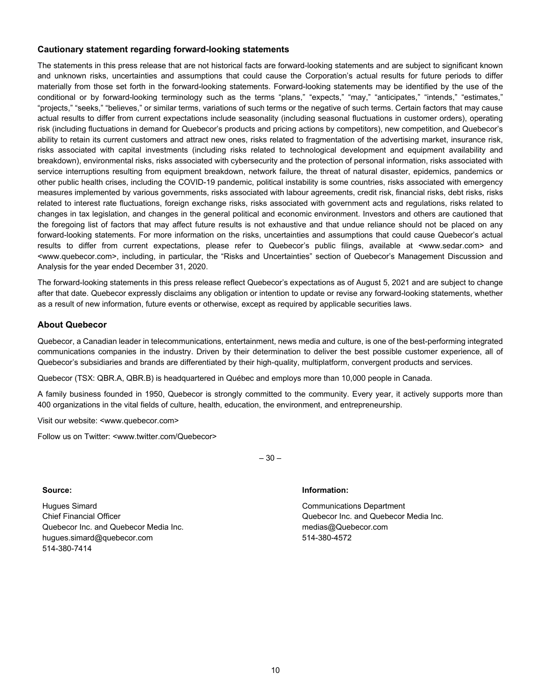# **Cautionary statement regarding forward-looking statements**

The statements in this press release that are not historical facts are forward-looking statements and are subject to significant known and unknown risks, uncertainties and assumptions that could cause the Corporation's actual results for future periods to differ materially from those set forth in the forward-looking statements. Forward-looking statements may be identified by the use of the conditional or by forward-looking terminology such as the terms "plans," "expects," "may," "anticipates," "intends," "estimates," "projects," "seeks," "believes," or similar terms, variations of such terms or the negative of such terms. Certain factors that may cause actual results to differ from current expectations include seasonality (including seasonal fluctuations in customer orders), operating risk (including fluctuations in demand for Quebecor's products and pricing actions by competitors), new competition, and Quebecor's ability to retain its current customers and attract new ones, risks related to fragmentation of the advertising market, insurance risk, risks associated with capital investments (including risks related to technological development and equipment availability and breakdown), environmental risks, risks associated with cybersecurity and the protection of personal information, risks associated with service interruptions resulting from equipment breakdown, network failure, the threat of natural disaster, epidemics, pandemics or other public health crises, including the COVID-19 pandemic, political instability is some countries, risks associated with emergency measures implemented by various governments, risks associated with labour agreements, credit risk, financial risks, debt risks, risks related to interest rate fluctuations, foreign exchange risks, risks associated with government acts and regulations, risks related to changes in tax legislation, and changes in the general political and economic environment. Investors and others are cautioned that the foregoing list of factors that may affect future results is not exhaustive and that undue reliance should not be placed on any forward-looking statements. For more information on the risks, uncertainties and assumptions that could cause Quebecor's actual results to differ from current expectations, please refer to Quebecor's public filings, available at <www.sedar.com> and <www.quebecor.com>, including, in particular, the "Risks and Uncertainties" section of Quebecor's Management Discussion and Analysis for the year ended December 31, 2020.

The forward-looking statements in this press release reflect Quebecor's expectations as of August 5, 2021 and are subject to change after that date. Quebecor expressly disclaims any obligation or intention to update or revise any forward-looking statements, whether as a result of new information, future events or otherwise, except as required by applicable securities laws.

# **About Quebecor**

Quebecor, a Canadian leader in telecommunications, entertainment, news media and culture, is one of the best-performing integrated communications companies in the industry. Driven by their determination to deliver the best possible customer experience, all of Quebecor's subsidiaries and brands are differentiated by their high-quality, multiplatform, convergent products and services.

Quebecor (TSX: QBR.A, QBR.B) is headquartered in Québec and employs more than 10,000 people in Canada.

A family business founded in 1950, Quebecor is strongly committed to the community. Every year, it actively supports more than 400 organizations in the vital fields of culture, health, education, the environment, and entrepreneurship.

 $-30-$ 

Visit our website: <www.quebecor.com>

Follow us on Twitter: <www.twitter.com/Quebecor>

Hugues Simard Chief Financial Officer Quebecor Inc. and Quebecor Media Inc. hugues.simard@quebecor.com 514-380-7414

#### **Source: Information:**

Communications Department Quebecor Inc. and Quebecor Media Inc. medias@Quebecor.com 514-380-4572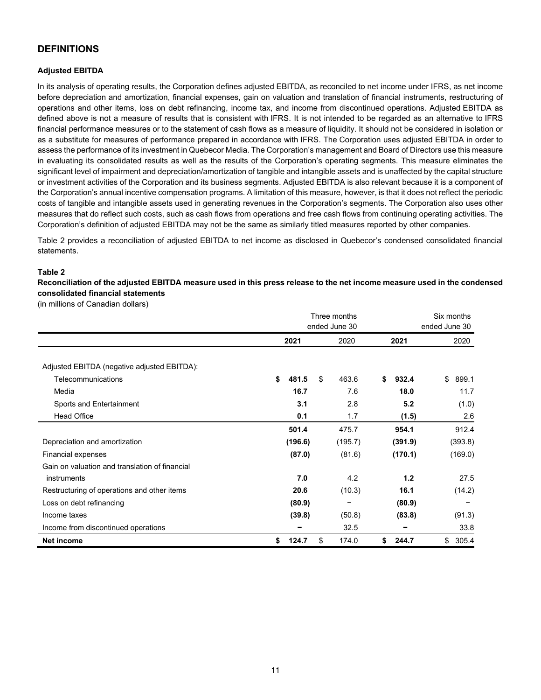# **DEFINITIONS**

# **Adjusted EBITDA**

In its analysis of operating results, the Corporation defines adjusted EBITDA, as reconciled to net income under IFRS, as net income before depreciation and amortization, financial expenses, gain on valuation and translation of financial instruments, restructuring of operations and other items, loss on debt refinancing, income tax, and income from discontinued operations. Adjusted EBITDA as defined above is not a measure of results that is consistent with IFRS. It is not intended to be regarded as an alternative to IFRS financial performance measures or to the statement of cash flows as a measure of liquidity. It should not be considered in isolation or as a substitute for measures of performance prepared in accordance with IFRS. The Corporation uses adjusted EBITDA in order to assess the performance of its investment in Quebecor Media. The Corporation's management and Board of Directors use this measure in evaluating its consolidated results as well as the results of the Corporation's operating segments. This measure eliminates the significant level of impairment and depreciation/amortization of tangible and intangible assets and is unaffected by the capital structure or investment activities of the Corporation and its business segments. Adjusted EBITDA is also relevant because it is a component of the Corporation's annual incentive compensation programs. A limitation of this measure, however, is that it does not reflect the periodic costs of tangible and intangible assets used in generating revenues in the Corporation's segments. The Corporation also uses other measures that do reflect such costs, such as cash flows from operations and free cash flows from continuing operating activities. The Corporation's definition of adjusted EBITDA may not be the same as similarly titled measures reported by other companies.

Table 2 provides a reconciliation of adjusted EBITDA to net income as disclosed in Quebecor's condensed consolidated financial statements.

#### **Table 2**

**Reconciliation of the adjusted EBITDA measure used in this press release to the net income measure used in the condensed consolidated financial statements**

(in millions of Canadian dollars)

|                                                |             | Three months<br>ended June 30 |             | Six months<br>ended June 30 |  |  |
|------------------------------------------------|-------------|-------------------------------|-------------|-----------------------------|--|--|
|                                                | 2021        | 2020                          | 2021        | 2020                        |  |  |
| Adjusted EBITDA (negative adjusted EBITDA):    |             |                               |             |                             |  |  |
| Telecommunications                             | \$<br>481.5 | \$<br>463.6                   | 932.4<br>\$ | \$<br>899.1                 |  |  |
| Media                                          | 16.7        | 7.6                           | 18.0        | 11.7                        |  |  |
| Sports and Entertainment                       | 3.1         | 2.8                           | 5.2         | (1.0)                       |  |  |
| <b>Head Office</b>                             | 0.1         | 1.7                           | (1.5)       | 2.6                         |  |  |
|                                                | 501.4       | 475.7                         | 954.1       | 912.4                       |  |  |
| Depreciation and amortization                  | (196.6)     | (195.7)                       | (391.9)     | (393.8)                     |  |  |
| Financial expenses                             | (87.0)      | (81.6)                        | (170.1)     | (169.0)                     |  |  |
| Gain on valuation and translation of financial |             |                               |             |                             |  |  |
| instruments                                    | 7.0         | 4.2                           | 1.2         | 27.5                        |  |  |
| Restructuring of operations and other items    | 20.6        | (10.3)                        | 16.1        | (14.2)                      |  |  |
| Loss on debt refinancing                       | (80.9)      |                               | (80.9)      |                             |  |  |
| Income taxes                                   | (39.8)      | (50.8)                        | (83.8)      | (91.3)                      |  |  |
| Income from discontinued operations            |             | 32.5                          |             | 33.8                        |  |  |
| Net income                                     | \$<br>124.7 | \$<br>174.0                   | \$<br>244.7 | 305.4<br>\$                 |  |  |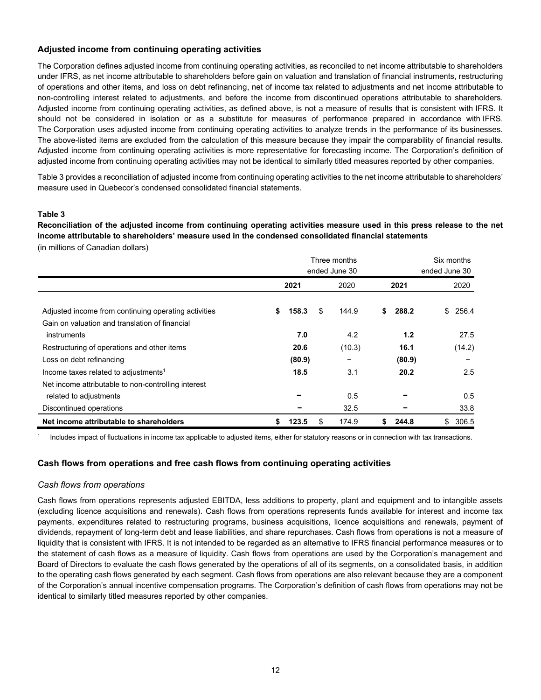# **Adjusted income from continuing operating activities**

The Corporation defines adjusted income from continuing operating activities, as reconciled to net income attributable to shareholders under IFRS, as net income attributable to shareholders before gain on valuation and translation of financial instruments, restructuring of operations and other items, and loss on debt refinancing, net of income tax related to adjustments and net income attributable to non-controlling interest related to adjustments, and before the income from discontinued operations attributable to shareholders. Adjusted income from continuing operating activities, as defined above, is not a measure of results that is consistent with IFRS. It should not be considered in isolation or as a substitute for measures of performance prepared in accordance with IFRS. The Corporation uses adjusted income from continuing operating activities to analyze trends in the performance of its businesses. The above-listed items are excluded from the calculation of this measure because they impair the comparability of financial results. Adjusted income from continuing operating activities is more representative for forecasting income. The Corporation's definition of adjusted income from continuing operating activities may not be identical to similarly titled measures reported by other companies.

Table 3 provides a reconciliation of adjusted income from continuing operating activities to the net income attributable to shareholders' measure used in Quebecor's condensed consolidated financial statements.

#### **Table 3**

**Reconciliation of the adjusted income from continuing operating activities measure used in this press release to the net income attributable to shareholders' measure used in the condensed consolidated financial statements** 

(in millions of Canadian dollars)

|                                                      | Three months<br>ended June 30 |        |    |        |   |        | Six months<br>ended June 30 |  |  |
|------------------------------------------------------|-------------------------------|--------|----|--------|---|--------|-----------------------------|--|--|
|                                                      |                               | 2021   |    | 2020   |   | 2021   | 2020                        |  |  |
| Adjusted income from continuing operating activities | S                             | 158.3  | \$ | 144.9  | S | 288.2  | 256.4<br>\$                 |  |  |
| Gain on valuation and translation of financial       |                               |        |    |        |   |        |                             |  |  |
| instruments                                          |                               | 7.0    |    | 4.2    |   | 1.2    | 27.5                        |  |  |
| Restructuring of operations and other items          |                               | 20.6   |    | (10.3) |   | 16.1   | (14.2)                      |  |  |
| Loss on debt refinancing                             |                               | (80.9) |    |        |   | (80.9) |                             |  |  |
| Income taxes related to adjustments <sup>1</sup>     |                               | 18.5   |    | 3.1    |   | 20.2   | 2.5                         |  |  |
| Net income attributable to non-controlling interest  |                               |        |    |        |   |        |                             |  |  |
| related to adjustments                               |                               |        |    | 0.5    |   |        | 0.5                         |  |  |
| Discontinued operations                              |                               |        |    | 32.5   |   |        | 33.8                        |  |  |
| Net income attributable to shareholders              |                               | 123.5  | \$ | 174.9  |   | 244.8  | 306.5<br>\$                 |  |  |

Includes impact of fluctuations in income tax applicable to adjusted items, either for statutory reasons or in connection with tax transactions.

# **Cash flows from operations and free cash flows from continuing operating activities**

# *Cash flows from operations*

Cash flows from operations represents adjusted EBITDA, less additions to property, plant and equipment and to intangible assets (excluding licence acquisitions and renewals). Cash flows from operations represents funds available for interest and income tax payments, expenditures related to restructuring programs, business acquisitions, licence acquisitions and renewals, payment of dividends, repayment of long-term debt and lease liabilities, and share repurchases. Cash flows from operations is not a measure of liquidity that is consistent with IFRS. It is not intended to be regarded as an alternative to IFRS financial performance measures or to the statement of cash flows as a measure of liquidity. Cash flows from operations are used by the Corporation's management and Board of Directors to evaluate the cash flows generated by the operations of all of its segments, on a consolidated basis, in addition to the operating cash flows generated by each segment. Cash flows from operations are also relevant because they are a component of the Corporation's annual incentive compensation programs. The Corporation's definition of cash flows from operations may not be identical to similarly titled measures reported by other companies.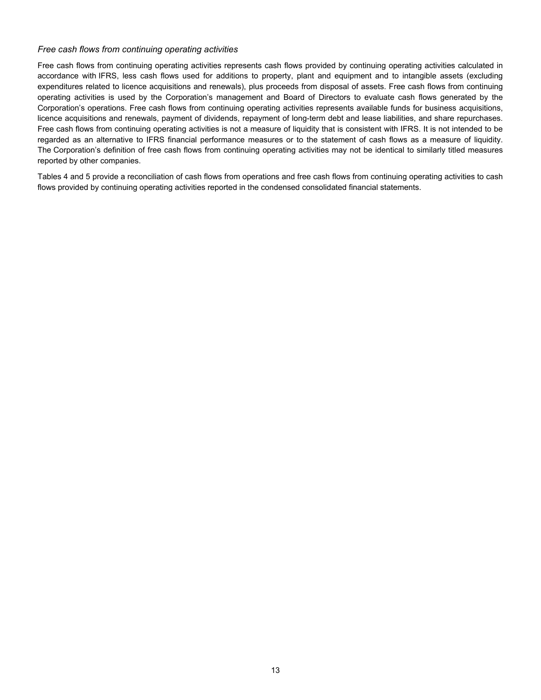# *Free cash flows from continuing operating activities*

Free cash flows from continuing operating activities represents cash flows provided by continuing operating activities calculated in accordance with IFRS, less cash flows used for additions to property, plant and equipment and to intangible assets (excluding expenditures related to licence acquisitions and renewals), plus proceeds from disposal of assets. Free cash flows from continuing operating activities is used by the Corporation's management and Board of Directors to evaluate cash flows generated by the Corporation's operations. Free cash flows from continuing operating activities represents available funds for business acquisitions, licence acquisitions and renewals, payment of dividends, repayment of long-term debt and lease liabilities, and share repurchases. Free cash flows from continuing operating activities is not a measure of liquidity that is consistent with IFRS. It is not intended to be regarded as an alternative to IFRS financial performance measures or to the statement of cash flows as a measure of liquidity. The Corporation's definition of free cash flows from continuing operating activities may not be identical to similarly titled measures reported by other companies.

Tables 4 and 5 provide a reconciliation of cash flows from operations and free cash flows from continuing operating activities to cash flows provided by continuing operating activities reported in the condensed consolidated financial statements.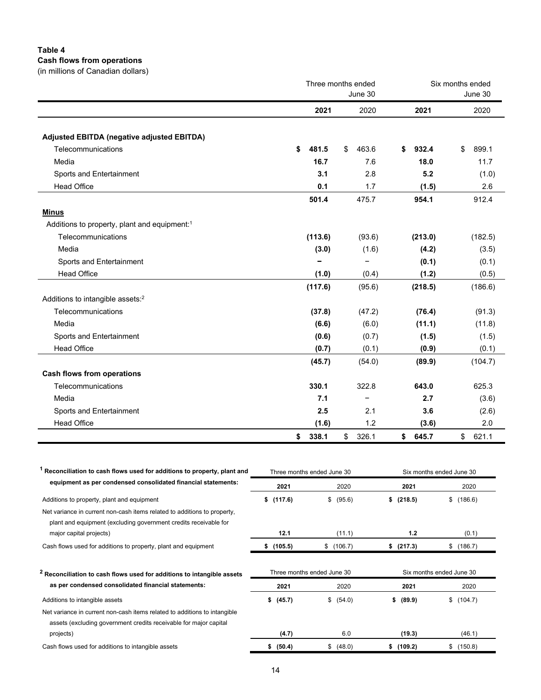# **Table 4**

**Cash flows from operations**

|  |  |  | (in millions of Canadian dollars) |  |  |
|--|--|--|-----------------------------------|--|--|
|--|--|--|-----------------------------------|--|--|

|                                                          |             | Three months ended | Six months ended |                        |  |  |
|----------------------------------------------------------|-------------|--------------------|------------------|------------------------|--|--|
|                                                          |             | June 30            |                  | June 30                |  |  |
|                                                          | 2021        | 2020               | 2021             | 2020                   |  |  |
| Adjusted EBITDA (negative adjusted EBITDA)               |             |                    |                  |                        |  |  |
| Telecommunications                                       | 481.5<br>\$ | 463.6<br>\$        | 932.4<br>\$      | 899.1<br>\$            |  |  |
| Media                                                    | 16.7        | 7.6                | 18.0             | 11.7                   |  |  |
| Sports and Entertainment                                 | 3.1         | 2.8                | 5.2              | (1.0)                  |  |  |
| <b>Head Office</b>                                       | 0.1         | 1.7                | (1.5)            | 2.6                    |  |  |
|                                                          | 501.4       | 475.7              | 954.1            | 912.4                  |  |  |
| <b>Minus</b>                                             |             |                    |                  |                        |  |  |
| Additions to property, plant and equipment: <sup>1</sup> |             |                    |                  |                        |  |  |
| Telecommunications                                       | (113.6)     | (93.6)             | (213.0)          | (182.5)                |  |  |
| Media                                                    | (3.0)       | (1.6)              | (4.2)            | (3.5)                  |  |  |
| Sports and Entertainment                                 |             |                    | (0.1)            | (0.1)                  |  |  |
| <b>Head Office</b>                                       | (1.0)       | (0.4)              | (1.2)            | (0.5)                  |  |  |
|                                                          | (117.6)     | (95.6)             | (218.5)          | (186.6)                |  |  |
| Additions to intangible assets: <sup>2</sup>             |             |                    |                  |                        |  |  |
| Telecommunications                                       | (37.8)      | (47.2)             | (76.4)           | (91.3)                 |  |  |
| Media                                                    | (6.6)       | (6.0)              | (11.1)           | (11.8)                 |  |  |
| Sports and Entertainment                                 | (0.6)       | (0.7)              | (1.5)            | (1.5)                  |  |  |
| <b>Head Office</b>                                       | (0.7)       | (0.1)              | (0.9)            | (0.1)                  |  |  |
|                                                          | (45.7)      | (54.0)             | (89.9)           | (104.7)                |  |  |
| <b>Cash flows from operations</b>                        |             |                    |                  |                        |  |  |
| Telecommunications                                       | 330.1       | 322.8              | 643.0            | 625.3                  |  |  |
| Media                                                    | 7.1         |                    | 2.7              | (3.6)                  |  |  |
| Sports and Entertainment                                 | 2.5         | 2.1                | 3.6              | (2.6)                  |  |  |
| <b>Head Office</b>                                       | (1.6)       | 1.2                | (3.6)            | 2.0                    |  |  |
|                                                          | 338.1<br>\$ | 326.1<br>\$        | \$<br>645.7      | $\frac{1}{2}$<br>621.1 |  |  |
|                                                          |             |                    |                  |                        |  |  |

| Reconciliation to cash flows used for additions to property, plant and                                                                         |               | Three months ended June 30 | Six months ended June 30 |               |  |  |  |
|------------------------------------------------------------------------------------------------------------------------------------------------|---------------|----------------------------|--------------------------|---------------|--|--|--|
| equipment as per condensed consolidated financial statements:                                                                                  | 2021          | 2020                       | 2021                     | 2020          |  |  |  |
| Additions to property, plant and equipment                                                                                                     | (117.6)<br>\$ | \$<br>(95.6)               | (218.5)<br>s             | (186.6)<br>\$ |  |  |  |
| Net variance in current non-cash items related to additions to property,<br>plant and equipment (excluding government credits receivable for   |               |                            |                          |               |  |  |  |
| major capital projects)                                                                                                                        | 12.1          | (11.1)                     | 1.2                      | (0.1)         |  |  |  |
| Cash flows used for additions to property, plant and equipment                                                                                 | (105.5)<br>\$ | \$(106.7)                  | \$ (217.3)               | (186.7)<br>\$ |  |  |  |
| <sup>2</sup> Reconciliation to cash flows used for additions to intangible assets                                                              |               | Three months ended June 30 | Six months ended June 30 |               |  |  |  |
| as per condensed consolidated financial statements:                                                                                            | 2021          | 2020                       | 2021                     | 2020          |  |  |  |
| Additions to intangible assets                                                                                                                 | (45.7)<br>\$  | \$<br>(54.0)               | (89.9)<br>\$             | (104.7)<br>\$ |  |  |  |
| Net variance in current non-cash items related to additions to intangible<br>assets (excluding government credits receivable for major capital |               |                            |                          |               |  |  |  |
| projects)                                                                                                                                      | (4.7)         | 6.0                        | (19.3)                   | (46.1)        |  |  |  |
| Cash flows used for additions to intangible assets                                                                                             | (50.4)<br>\$  | \$ (48.0)                  | \$(109.2)                | (150.8)<br>\$ |  |  |  |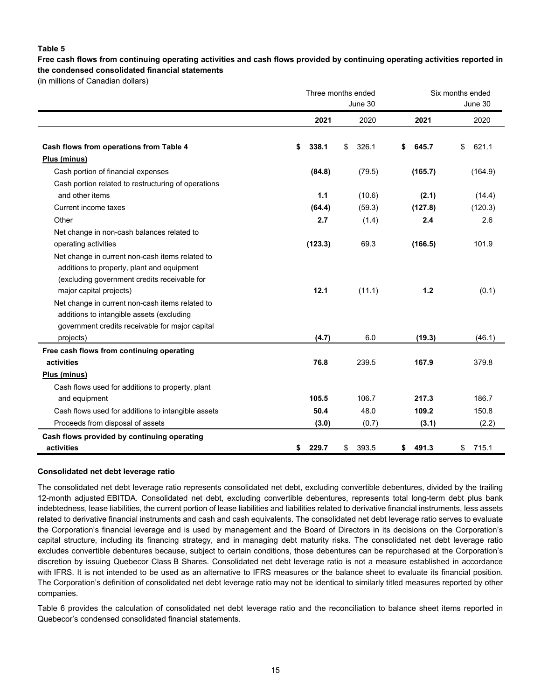# **Table 5**

**Free cash flows from continuing operating activities and cash flows provided by continuing operating activities reported in the condensed consolidated financial statements**

(in millions of Canadian dollars)

|                                                                                                                                                                                         |               | Three months ended<br>June 30 |               | Six months ended<br>June 30 |
|-----------------------------------------------------------------------------------------------------------------------------------------------------------------------------------------|---------------|-------------------------------|---------------|-----------------------------|
|                                                                                                                                                                                         | 2021          | 2020                          | 2021          | 2020                        |
| Cash flows from operations from Table 4                                                                                                                                                 | 338.1<br>\$   | 326.1<br>\$                   | 645.7<br>\$   | \$<br>621.1                 |
| Plus (minus)                                                                                                                                                                            |               |                               |               |                             |
| Cash portion of financial expenses                                                                                                                                                      | (84.8)        | (79.5)                        | (165.7)       | (164.9)                     |
| Cash portion related to restructuring of operations                                                                                                                                     |               |                               |               |                             |
| and other items                                                                                                                                                                         | 1.1           | (10.6)                        | (2.1)         | (14.4)                      |
| Current income taxes                                                                                                                                                                    | (64.4)        | (59.3)                        | (127.8)       | (120.3)                     |
| Other                                                                                                                                                                                   | 2.7           | (1.4)                         | 2.4           | 2.6                         |
| Net change in non-cash balances related to                                                                                                                                              |               |                               |               |                             |
| operating activities                                                                                                                                                                    | (123.3)       | 69.3                          | (166.5)       | 101.9                       |
| Net change in current non-cash items related to<br>additions to property, plant and equipment<br>(excluding government credits receivable for                                           |               |                               |               |                             |
| major capital projects)<br>Net change in current non-cash items related to<br>additions to intangible assets (excluding<br>government credits receivable for major capital<br>projects) | 12.1<br>(4.7) | (11.1)<br>6.0                 | 1.2<br>(19.3) | (0.1)<br>(46.1)             |
| Free cash flows from continuing operating                                                                                                                                               |               |                               |               |                             |
| activities<br>Plus (minus)                                                                                                                                                              | 76.8          | 239.5                         | 167.9         | 379.8                       |
| Cash flows used for additions to property, plant                                                                                                                                        |               |                               |               |                             |
| and equipment                                                                                                                                                                           | 105.5         | 106.7                         | 217.3         | 186.7                       |
| Cash flows used for additions to intangible assets                                                                                                                                      | 50.4          | 48.0                          | 109.2         | 150.8                       |
| Proceeds from disposal of assets                                                                                                                                                        | (3.0)         | (0.7)                         | (3.1)         | (2.2)                       |
| Cash flows provided by continuing operating                                                                                                                                             |               |                               |               |                             |
| activities                                                                                                                                                                              | 229.7<br>S.   | 393.5<br>\$                   | 491.3<br>\$   | 715.1<br>\$                 |

#### **Consolidated net debt leverage ratio**

The consolidated net debt leverage ratio represents consolidated net debt, excluding convertible debentures, divided by the trailing 12-month adjusted EBITDA. Consolidated net debt, excluding convertible debentures, represents total long-term debt plus bank indebtedness, lease liabilities, the current portion of lease liabilities and liabilities related to derivative financial instruments, less assets related to derivative financial instruments and cash and cash equivalents. The consolidated net debt leverage ratio serves to evaluate the Corporation's financial leverage and is used by management and the Board of Directors in its decisions on the Corporation's capital structure, including its financing strategy, and in managing debt maturity risks. The consolidated net debt leverage ratio excludes convertible debentures because, subject to certain conditions, those debentures can be repurchased at the Corporation's discretion by issuing Quebecor Class B Shares. Consolidated net debt leverage ratio is not a measure established in accordance with IFRS. It is not intended to be used as an alternative to IFRS measures or the balance sheet to evaluate its financial position. The Corporation's definition of consolidated net debt leverage ratio may not be identical to similarly titled measures reported by other companies.

Table 6 provides the calculation of consolidated net debt leverage ratio and the reconciliation to balance sheet items reported in Quebecor's condensed consolidated financial statements.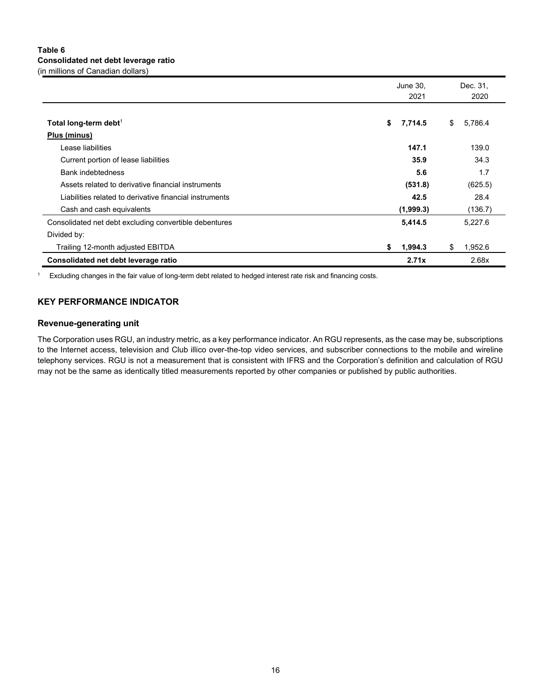# **Table 6 Consolidated net debt leverage ratio** (in millions of Canadian dollars)

|                                                         | June 30,<br>2021 | Dec. 31,<br>2020 |
|---------------------------------------------------------|------------------|------------------|
| Total long-term debt <sup>1</sup>                       | 7,714.5<br>\$    | 5,786.4<br>\$    |
| Plus (minus)                                            |                  |                  |
| Lease liabilities                                       | 147.1            | 139.0            |
| Current portion of lease liabilities                    | 35.9             | 34.3             |
| <b>Bank indebtedness</b>                                | 5.6              | 1.7              |
| Assets related to derivative financial instruments      | (531.8)          | (625.5)          |
| Liabilities related to derivative financial instruments | 42.5             | 28.4             |
| Cash and cash equivalents                               | (1,999.3)        | (136.7)          |
| Consolidated net debt excluding convertible debentures  | 5,414.5          | 5,227.6          |
| Divided by:                                             |                  |                  |
| Trailing 12-month adjusted EBITDA                       | 1,994.3<br>\$    | 1,952.6<br>\$    |
| Consolidated net debt leverage ratio                    | 2.71x            | 2.68x            |

<sup>1</sup> Excluding changes in the fair value of long-term debt related to hedged interest rate risk and financing costs.

# **KEY PERFORMANCE INDICATOR**

# **Revenue-generating unit**

The Corporation uses RGU, an industry metric, as a key performance indicator. An RGU represents, as the case may be, subscriptions to the Internet access, television and Club illico over-the-top video services, and subscriber connections to the mobile and wireline telephony services. RGU is not a measurement that is consistent with IFRS and the Corporation's definition and calculation of RGU may not be the same as identically titled measurements reported by other companies or published by public authorities.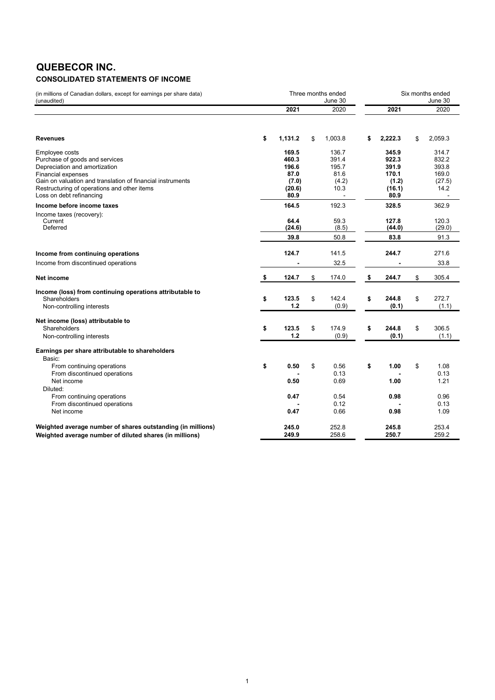# **QUEBECOR INC.**

# **CONSOLIDATED STATEMENTS OF INCOME**

| (in millions of Canadian dollars, except for earnings per share data)<br>(unaudited)                                                                                                                                                                    |                                                            | Three months ended<br>June 30                                      |                                                             | Six months ended<br>June 30                        |
|---------------------------------------------------------------------------------------------------------------------------------------------------------------------------------------------------------------------------------------------------------|------------------------------------------------------------|--------------------------------------------------------------------|-------------------------------------------------------------|----------------------------------------------------|
|                                                                                                                                                                                                                                                         | 2021                                                       | 2020                                                               | 2021                                                        | 2020                                               |
| <b>Revenues</b>                                                                                                                                                                                                                                         | \$<br>1,131.2                                              | \$<br>1,003.8                                                      | \$<br>2,222.3                                               | \$<br>2,059.3                                      |
| Employee costs<br>Purchase of goods and services<br>Depreciation and amortization<br><b>Financial expenses</b><br>Gain on valuation and translation of financial instruments<br>Restructuring of operations and other items<br>Loss on debt refinancing | 169.5<br>460.3<br>196.6<br>87.0<br>(7.0)<br>(20.6)<br>80.9 | 136.7<br>391.4<br>195.7<br>81.6<br>(4.2)<br>10.3<br>$\blacksquare$ | 345.9<br>922.3<br>391.9<br>170.1<br>(1.2)<br>(16.1)<br>80.9 | 314.7<br>832.2<br>393.8<br>169.0<br>(27.5)<br>14.2 |
| Income before income taxes<br>Income taxes (recovery):<br>Current<br>Deferred                                                                                                                                                                           | 164.5<br>64.4<br>(24.6)<br>39.8                            | 192.3<br>59.3<br>(8.5)<br>50.8                                     | 328.5<br>127.8<br>(44.0)<br>83.8                            | 362.9<br>120.3<br>(29.0)<br>91.3                   |
| Income from continuing operations<br>Income from discontinued operations                                                                                                                                                                                | 124.7                                                      | 141.5<br>32.5                                                      | 244.7                                                       | 271.6<br>33.8                                      |
| Net income                                                                                                                                                                                                                                              | \$<br>124.7                                                | \$<br>174.0                                                        | \$<br>244.7                                                 | \$<br>305.4                                        |
| Income (loss) from continuing operations attributable to<br>Shareholders<br>Non-controlling interests                                                                                                                                                   | \$<br>123.5<br>1.2                                         | \$<br>142.4<br>(0.9)                                               | \$<br>244.8<br>(0.1)                                        | \$<br>272.7<br>(1.1)                               |
| Net income (loss) attributable to<br>Shareholders<br>Non-controlling interests                                                                                                                                                                          | \$<br>123.5<br>1.2                                         | \$<br>174.9<br>(0.9)                                               | \$<br>244.8<br>(0.1)                                        | \$<br>306.5<br>(1.1)                               |
| Earnings per share attributable to shareholders<br>Basic:<br>From continuing operations<br>From discontinued operations<br>Net income<br>Diluted:<br>From continuing operations<br>From discontinued operations<br>Net income                           | \$<br>0.50<br>0.50<br>0.47<br>0.47                         | \$<br>0.56<br>0.13<br>0.69<br>0.54<br>0.12<br>0.66                 | \$<br>1.00<br>1.00<br>0.98<br>0.98                          | \$<br>1.08<br>0.13<br>1.21<br>0.96<br>0.13<br>1.09 |
| Weighted average number of shares outstanding (in millions)<br>Weighted average number of diluted shares (in millions)                                                                                                                                  | 245.0<br>249.9                                             | 252.8<br>258.6                                                     | 245.8<br>250.7                                              | 253.4<br>259.2                                     |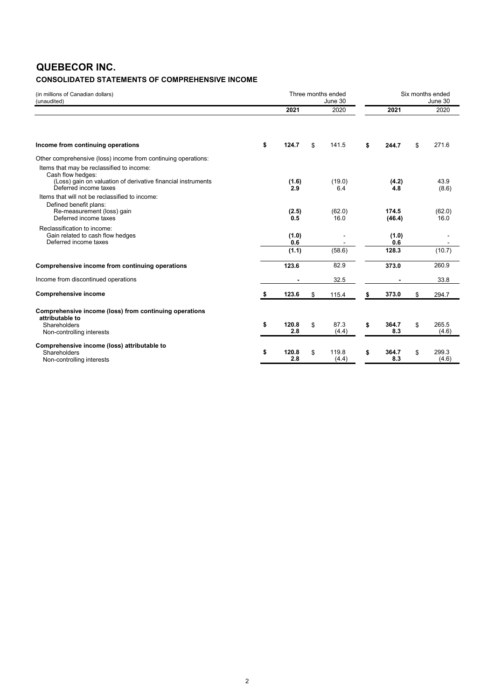# **QUEBECOR INC.**

# **CONSOLIDATED STATEMENTS OF COMPREHENSIVE INCOME**

| (in millions of Canadian dollars)<br>(unaudited)                          | Three months ended<br>June 30 |    |                |                    | Six months ended<br>June 30 |
|---------------------------------------------------------------------------|-------------------------------|----|----------------|--------------------|-----------------------------|
|                                                                           | 2021                          |    | 2020           | 2021               | 2020                        |
| Income from continuing operations                                         | \$<br>124.7                   | \$ | 141.5          | \$<br>244.7        | \$<br>271.6                 |
| Other comprehensive (loss) income from continuing operations:             |                               |    |                |                    |                             |
| Items that may be reclassified to income:                                 |                               |    |                |                    |                             |
| Cash flow hedges:                                                         |                               |    |                |                    |                             |
| (Loss) gain on valuation of derivative financial instruments              | (1.6)                         |    | (19.0)         | (4.2)              | 43.9                        |
| Deferred income taxes<br>Items that will not be reclassified to income:   | 2.9                           |    | 6.4            | 4.8                | (8.6)                       |
| Defined benefit plans:                                                    |                               |    |                |                    |                             |
| Re-measurement (loss) gain                                                | (2.5)                         |    | (62.0)         | 174.5              | (62.0)                      |
| Deferred income taxes                                                     | 0.5                           |    | 16.0           | (46.4)             | 16.0                        |
| Reclassification to income:                                               |                               |    |                |                    |                             |
| Gain related to cash flow hedges<br>Deferred income taxes                 | (1.0)<br>0.6                  |    |                | (1.0)<br>0.6       |                             |
|                                                                           | (1.1)                         |    | (58.6)         | 128.3              | (10.7)                      |
| Comprehensive income from continuing operations                           | 123.6                         |    | 82.9           | 373.0              | 260.9                       |
| Income from discontinued operations                                       |                               |    | 32.5           |                    | 33.8                        |
| <b>Comprehensive income</b>                                               | \$<br>123.6                   | \$ | 115.4          | \$<br>373.0        | \$<br>294.7                 |
| Comprehensive income (loss) from continuing operations<br>attributable to |                               |    |                |                    |                             |
| Shareholders                                                              | \$<br>120.8                   | \$ | 87.3           | \$<br>364.7        | \$<br>265.5                 |
| Non-controlling interests                                                 | 2.8                           |    | (4.4)          | 8.3                | (4.6)                       |
| Comprehensive income (loss) attributable to                               |                               |    |                |                    |                             |
| Shareholders                                                              | \$<br>120.8<br>2.8            | \$ | 119.8<br>(4.4) | \$<br>364.7<br>8.3 | \$<br>299.3<br>(4.6)        |
| Non-controlling interests                                                 |                               |    |                |                    |                             |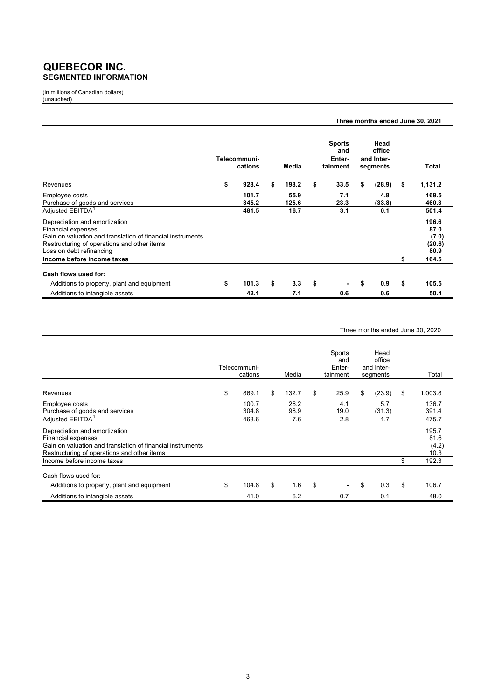# **QUEBECOR INC. SEGMENTED INFORMATION**

(in millions of Canadian dollars) (unaudited)

|                                                                                                                                                                                                     |                         |               |                                            |                                          | Three months ended June 30, 2021 |                                          |  |
|-----------------------------------------------------------------------------------------------------------------------------------------------------------------------------------------------------|-------------------------|---------------|--------------------------------------------|------------------------------------------|----------------------------------|------------------------------------------|--|
|                                                                                                                                                                                                     | Telecommuni-<br>cations | Media         | <b>Sports</b><br>and<br>Enter-<br>tainment | Head<br>office<br>and Inter-<br>segments |                                  | Total                                    |  |
| Revenues                                                                                                                                                                                            | \$<br>928.4             | \$<br>198.2   | \$<br>33.5                                 | \$<br>(28.9)                             | \$                               | 1,131.2                                  |  |
| Employee costs<br>Purchase of goods and services                                                                                                                                                    | 101.7<br>345.2          | 55.9<br>125.6 | 7.1<br>23.3                                | 4.8<br>(33.8)                            |                                  | 169.5<br>460.3                           |  |
| Adjusted EBITDA <sup>1</sup>                                                                                                                                                                        | 481.5                   | 16.7          | 3.1                                        | 0.1                                      |                                  | 501.4                                    |  |
| Depreciation and amortization<br><b>Financial expenses</b><br>Gain on valuation and translation of financial instruments<br>Restructuring of operations and other items<br>Loss on debt refinancing |                         |               |                                            |                                          |                                  | 196.6<br>87.0<br>(7.0)<br>(20.6)<br>80.9 |  |
| Income before income taxes                                                                                                                                                                          |                         |               |                                            |                                          | \$                               | 164.5                                    |  |
| Cash flows used for:<br>Additions to property, plant and equipment                                                                                                                                  | \$<br>101.3             | \$<br>3.3     | \$                                         | \$<br>0.9                                | \$                               | 105.5                                    |  |
| Additions to intangible assets                                                                                                                                                                      | 42.1                    | 7.1           | 0.6                                        | 0.6                                      |                                  | 50.4                                     |  |

#### Three months ended June 30, 2020

|                                                                                                                                                                         | Telecommuni-<br>cations | Media        | Sports<br>and<br>Enter-<br>tainment | Head<br>office<br>and Inter-<br>segments | Total                          |
|-------------------------------------------------------------------------------------------------------------------------------------------------------------------------|-------------------------|--------------|-------------------------------------|------------------------------------------|--------------------------------|
| Revenues                                                                                                                                                                | \$<br>869.1             | \$<br>132.7  | \$<br>25.9                          | \$<br>(23.9)                             | \$<br>1,003.8                  |
| Employee costs<br>Purchase of goods and services                                                                                                                        | 100.7<br>304.8          | 26.2<br>98.9 | 4.1<br>19.0                         | 5.7<br>(31.3)                            | 136.7<br>391.4                 |
| Adjusted EBITDA <sup>1</sup>                                                                                                                                            | 463.6                   | 7.6          | 2.8                                 | 1.7                                      | 475.7                          |
| Depreciation and amortization<br><b>Financial expenses</b><br>Gain on valuation and translation of financial instruments<br>Restructuring of operations and other items |                         |              |                                     |                                          | 195.7<br>81.6<br>(4.2)<br>10.3 |
| Income before income taxes                                                                                                                                              |                         |              |                                     |                                          | \$<br>192.3                    |
| Cash flows used for:<br>Additions to property, plant and equipment                                                                                                      | \$<br>104.8             | \$<br>1.6    | \$<br>$\overline{\phantom{0}}$      | \$<br>0.3                                | \$<br>106.7                    |
| Additions to intangible assets                                                                                                                                          | 41.0                    | 6.2          | 0.7                                 | 0.1                                      | 48.0                           |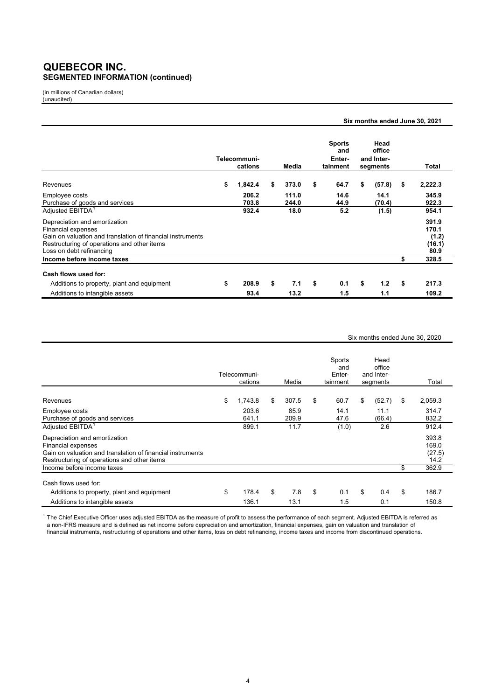# **QUEBECOR INC. SEGMENTED INFORMATION (continued)**

(in millions of Canadian dollars) (unaudited)

|                                                                                                                                                                                                     |                         |                |                                            |                                          | Six months ended June 30, 2021            |
|-----------------------------------------------------------------------------------------------------------------------------------------------------------------------------------------------------|-------------------------|----------------|--------------------------------------------|------------------------------------------|-------------------------------------------|
|                                                                                                                                                                                                     | Telecommuni-<br>cations | Media          | <b>Sports</b><br>and<br>Enter-<br>tainment | Head<br>office<br>and Inter-<br>segments | Total                                     |
| Revenues                                                                                                                                                                                            | \$<br>1,842.4           | \$<br>373.0    | \$<br>64.7                                 | \$<br>(57.8)                             | \$<br>2,222.3                             |
| Employee costs<br>Purchase of goods and services                                                                                                                                                    | 206.2<br>703.8          | 111.0<br>244.0 | 14.6<br>44.9                               | 14.1<br>(70.4)                           | 345.9<br>922.3                            |
| Adjusted EBITDA <sup>1</sup>                                                                                                                                                                        | 932.4                   | 18.0           | 5.2                                        | (1.5)                                    | 954.1                                     |
| Depreciation and amortization<br><b>Financial expenses</b><br>Gain on valuation and translation of financial instruments<br>Restructuring of operations and other items<br>Loss on debt refinancing |                         |                |                                            |                                          | 391.9<br>170.1<br>(1.2)<br>(16.1)<br>80.9 |
| Income before income taxes                                                                                                                                                                          |                         |                |                                            |                                          | \$<br>328.5                               |
| Cash flows used for:                                                                                                                                                                                |                         |                |                                            |                                          |                                           |
| Additions to property, plant and equipment                                                                                                                                                          | \$<br>208.9             | \$<br>7.1      | \$<br>0.1                                  | \$<br>1.2                                | \$<br>217.3                               |
| Additions to intangible assets                                                                                                                                                                      | 93.4                    | 13.2           | 1.5                                        | 1.1                                      | 109.2                                     |

#### Six months ended June 30, 2020

|                                                                                                                                                                         | Telecommuni-<br>cations | Media         | Sports<br>and<br>Enter-<br>tainment | Head<br>office<br>and Inter-<br>segments | Total                            |
|-------------------------------------------------------------------------------------------------------------------------------------------------------------------------|-------------------------|---------------|-------------------------------------|------------------------------------------|----------------------------------|
| Revenues                                                                                                                                                                | \$<br>1,743.8           | \$<br>307.5   | \$<br>60.7                          | \$<br>(52.7)                             | \$<br>2,059.3                    |
| Employee costs<br>Purchase of goods and services                                                                                                                        | 203.6<br>641.1          | 85.9<br>209.9 | 14.1<br>47.6                        | 11.1<br>(66.4)                           | 314.7<br>832.2                   |
| Adjusted EBITDA <sup>1</sup>                                                                                                                                            | 899.1                   | 11.7          | (1.0)                               | 2.6                                      | 912.4                            |
| Depreciation and amortization<br><b>Financial expenses</b><br>Gain on valuation and translation of financial instruments<br>Restructuring of operations and other items |                         |               |                                     |                                          | 393.8<br>169.0<br>(27.5)<br>14.2 |
| Income before income taxes                                                                                                                                              |                         |               |                                     |                                          | \$<br>362.9                      |
| Cash flows used for:                                                                                                                                                    |                         |               |                                     |                                          |                                  |
| Additions to property, plant and equipment                                                                                                                              | \$<br>178.4             | \$<br>7.8     | \$<br>0.1                           | \$<br>0.4                                | \$<br>186.7                      |
| Additions to intangible assets                                                                                                                                          | 136.1                   | 13.1          | 1.5                                 | 0.1                                      | 150.8                            |

 $^{\rm 1}$  The Chief Executive Officer uses adjusted EBITDA as the measure of profit to assess the performance of each segment. Adjusted EBITDA is referred as a non-IFRS measure and is defined as net income before depreciation and amortization, financial expenses, gain on valuation and translation of financial instruments, restructuring of operations and other items, loss on debt refinancing, income taxes and income from discontinued operations.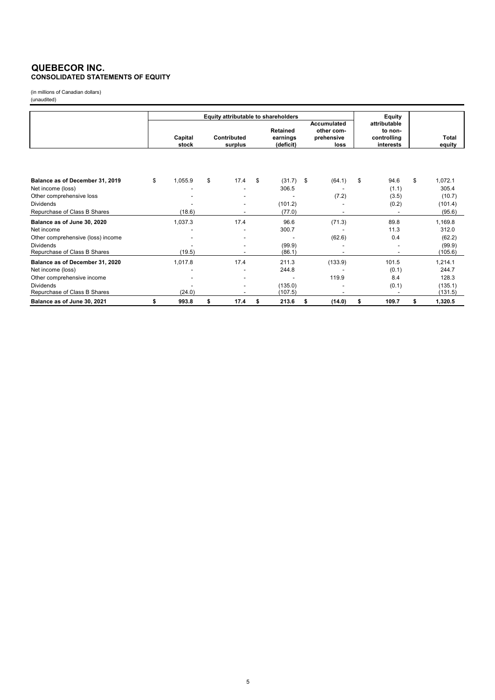# **QUEBECOR INC. CONSOLIDATED STATEMENTS OF EQUITY**

(in millions of Canadian dollars) (unaudited)

|                                   |         | Equity attributable to shareholders |                                 |      |    |                                          |    |                                                        |    | Equity                                              |                 |
|-----------------------------------|---------|-------------------------------------|---------------------------------|------|----|------------------------------------------|----|--------------------------------------------------------|----|-----------------------------------------------------|-----------------|
|                                   | Capital |                                     | Contributed<br>surplus<br>stock |      |    | <b>Retained</b><br>earnings<br>(deficit) |    | <b>Accumulated</b><br>other com-<br>prehensive<br>loss |    | attributable<br>to non-<br>controlling<br>interests | Total<br>equity |
|                                   |         |                                     |                                 |      |    |                                          |    |                                                        |    |                                                     |                 |
| Balance as of December 31, 2019   | \$      | 1,055.9                             | \$                              | 17.4 | \$ | (31.7)                                   | \$ | (64.1)                                                 | \$ | 94.6                                                | \$<br>1,072.1   |
| Net income (loss)                 |         |                                     |                                 |      |    | 306.5                                    |    |                                                        |    | (1.1)                                               | 305.4           |
| Other comprehensive loss          |         |                                     |                                 |      |    |                                          |    | (7.2)                                                  |    | (3.5)                                               | (10.7)          |
| <b>Dividends</b>                  |         |                                     |                                 |      |    | (101.2)                                  |    |                                                        |    | (0.2)                                               | (101.4)         |
| Repurchase of Class B Shares      |         | (18.6)                              |                                 |      |    | (77.0)                                   |    |                                                        |    |                                                     | (95.6)          |
| Balance as of June 30, 2020       |         | 1,037.3                             |                                 | 17.4 |    | 96.6                                     |    | (71.3)                                                 |    | 89.8                                                | 1,169.8         |
| Net income                        |         |                                     |                                 |      |    | 300.7                                    |    |                                                        |    | 11.3                                                | 312.0           |
| Other comprehensive (loss) income |         |                                     |                                 |      |    |                                          |    | (62.6)                                                 |    | 0.4                                                 | (62.2)          |
| <b>Dividends</b>                  |         |                                     |                                 |      |    | (99.9)                                   |    |                                                        |    |                                                     | (99.9)          |
| Repurchase of Class B Shares      |         | (19.5)                              |                                 |      |    | (86.1)                                   |    |                                                        |    | $\overline{\phantom{0}}$                            | (105.6)         |
| Balance as of December 31, 2020   |         | 1,017.8                             |                                 | 17.4 |    | 211.3                                    |    | (133.9)                                                |    | 101.5                                               | 1,214.1         |
| Net income (loss)                 |         |                                     |                                 |      |    | 244.8                                    |    |                                                        |    | (0.1)                                               | 244.7           |
| Other comprehensive income        |         |                                     |                                 |      |    |                                          |    | 119.9                                                  |    | 8.4                                                 | 128.3           |
| <b>Dividends</b>                  |         |                                     |                                 |      |    | (135.0)                                  |    |                                                        |    | (0.1)                                               | (135.1)         |
| Repurchase of Class B Shares      |         | (24.0)                              |                                 |      |    | (107.5)                                  |    |                                                        |    |                                                     | (131.5)         |
| Balance as of June 30, 2021       | \$      | 993.8                               | \$                              | 17.4 | \$ | 213.6                                    | \$ | (14.0)                                                 | \$ | 109.7                                               | \$<br>1,320.5   |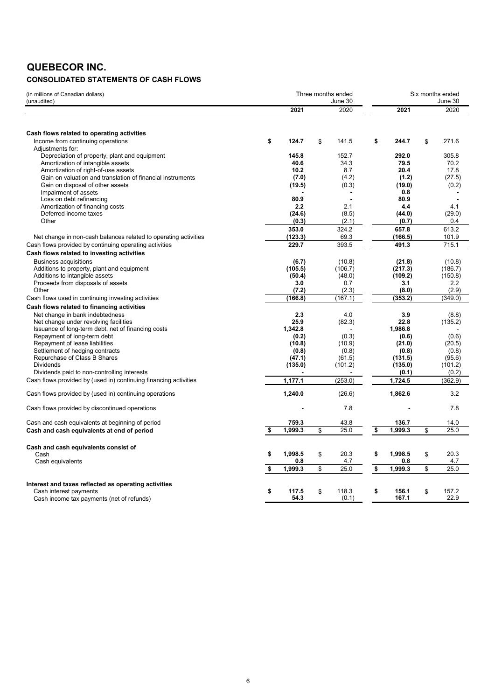# **QUEBECOR INC.**

# **CONSOLIDATED STATEMENTS OF CASH FLOWS**

| (in millions of Canadian dollars)<br>(unaudited)                 |               | Three months ended<br>June 30 |               | Six months ended<br>June 30 |              |  |
|------------------------------------------------------------------|---------------|-------------------------------|---------------|-----------------------------|--------------|--|
|                                                                  | 2021          | 2020                          | 2021          |                             | 2020         |  |
|                                                                  |               |                               |               |                             |              |  |
| Cash flows related to operating activities                       |               |                               |               |                             |              |  |
| Income from continuing operations                                | \$<br>124.7   | \$<br>141.5                   | \$<br>244.7   | \$                          | 271.6        |  |
| Adjustments for:                                                 |               |                               |               |                             |              |  |
| Depreciation of property, plant and equipment                    | 145.8         | 152.7                         | 292.0         |                             | 305.8        |  |
| Amortization of intangible assets                                | 40.6<br>10.2  | 34.3<br>8.7                   | 79.5<br>20.4  |                             | 70.2<br>17.8 |  |
| Amortization of right-of-use assets                              |               |                               |               |                             |              |  |
| Gain on valuation and translation of financial instruments       | (7.0)         | (4.2)                         | (1.2)         |                             | (27.5)       |  |
| Gain on disposal of other assets                                 | (19.5)        | (0.3)                         | (19.0)        |                             | (0.2)        |  |
| Impairment of assets                                             |               |                               | 0.8           |                             |              |  |
| Loss on debt refinancing                                         | 80.9          | $\overline{a}$                | 80.9          |                             |              |  |
| Amortization of financing costs                                  | 2.2           | 2.1                           | 4.4           |                             | 4.1          |  |
| Deferred income taxes                                            | (24.6)        | (8.5)                         | (44.0)        |                             | (29.0)       |  |
| Other                                                            | (0.3)         | (2.1)                         | (0.7)         |                             | 0.4          |  |
|                                                                  | 353.0         | 324.2                         | 657.8         |                             | 613.2        |  |
| Net change in non-cash balances related to operating activities  | (123.3)       | 69.3                          | (166.5)       |                             | 101.9        |  |
| Cash flows provided by continuing operating activities           | 229.7         | 393.5                         | 491.3         |                             | 715.1        |  |
| Cash flows related to investing activities                       |               |                               |               |                             |              |  |
| <b>Business acquisitions</b>                                     | (6.7)         | (10.8)                        | (21.8)        |                             | (10.8)       |  |
| Additions to property, plant and equipment                       | (105.5)       | (106.7)                       | (217.3)       |                             | (186.7)      |  |
| Additions to intangible assets                                   | (50.4)        | (48.0)                        | (109.2)       |                             | (150.8)      |  |
| Proceeds from disposals of assets                                | 3.0           | 0.7                           | 3.1           |                             | 2.2          |  |
| Other                                                            | (7.2)         | (2.3)                         | (8.0)         |                             | (2.9)        |  |
| Cash flows used in continuing investing activities               | (166.8)       | (167.1)                       | (353.2)       |                             | (349.0)      |  |
| Cash flows related to financing activities                       |               |                               |               |                             |              |  |
|                                                                  |               |                               |               |                             |              |  |
| Net change in bank indebtedness                                  | 2.3<br>25.9   | 4.0                           | 3.9           |                             | (8.8)        |  |
| Net change under revolving facilities                            |               | (82.3)                        | 22.8          |                             | (135.2)      |  |
| Issuance of long-term debt, net of financing costs               | 1,342.8       |                               | 1,986.8       |                             |              |  |
| Repayment of long-term debt                                      | (0.2)         | (0.3)                         | (0.6)         |                             | (0.6)        |  |
| Repayment of lease liabilities                                   | (10.8)        | (10.9)                        | (21.0)        |                             | (20.5)       |  |
| Settlement of hedging contracts                                  | (0.8)         | (0.8)                         | (0.8)         |                             | (0.8)        |  |
| Repurchase of Class B Shares                                     | (47.1)        | (61.5)                        | (131.5)       |                             | (95.6)       |  |
| <b>Dividends</b>                                                 | (135.0)       | (101.2)                       | (135.0)       |                             | (101.2)      |  |
| Dividends paid to non-controlling interests                      |               |                               | (0.1)         |                             | (0.2)        |  |
| Cash flows provided by (used in) continuing financing activities | 1,177.1       | (253.0)                       | 1,724.5       |                             | (362.9)      |  |
| Cash flows provided by (used in) continuing operations           | 1,240.0       | (26.6)                        | 1,862.6       |                             | 3.2          |  |
| Cash flows provided by discontinued operations                   |               | 7.8                           |               |                             | 7.8          |  |
| Cash and cash equivalents at beginning of period                 | 759.3         | 43.8                          | 136.7         |                             | 14.0         |  |
| Cash and cash equivalents at end of period                       | \$<br>1,999.3 | \$<br>25.0                    | \$<br>1,999.3 | \$                          | 25.0         |  |
| Cash and cash equivalents consist of                             |               |                               |               |                             |              |  |
| Cash                                                             | \$<br>1,998.5 | \$<br>20.3                    | \$<br>1,998.5 | \$                          | 20.3         |  |
| Cash equivalents                                                 | 0.8           | 4.7                           | 0.8           |                             | 4.7          |  |
|                                                                  | 1,999.3       | \$<br>25.0                    | \$<br>1,999.3 | \$                          | 25.0         |  |
|                                                                  |               |                               |               |                             |              |  |
| Interest and taxes reflected as operating activities             |               |                               |               |                             |              |  |
| Cash interest payments                                           | \$<br>117.5   | \$<br>118.3                   | \$<br>156.1   | \$                          | 157.2        |  |
| Cash income tax payments (net of refunds)                        | 54.3          | (0.1)                         | 167.1         |                             | 22.9         |  |